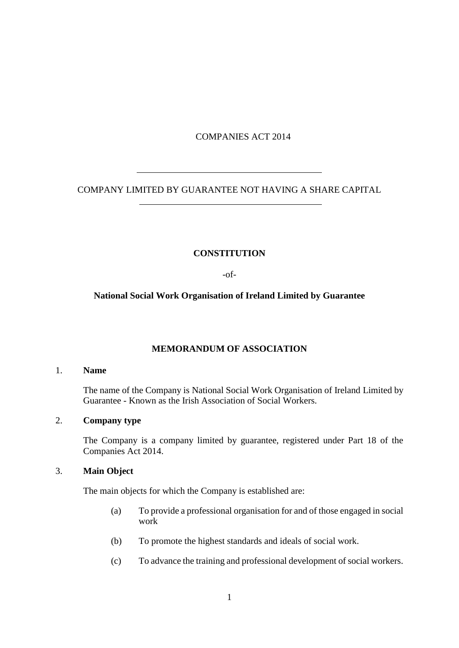## COMPANIES ACT 2014

COMPANY LIMITED BY GUARANTEE NOT HAVING A SHARE CAPITAL

## **CONSTITUTION**

-of-

## **National Social Work Organisation of Ireland Limited by Guarantee**

# **MEMORANDUM OF ASSOCIATION**

### 1. **Name**

The name of the Company is National Social Work Organisation of Ireland Limited by Guarantee - Known as the Irish Association of Social Workers.

## 2. **Company type**

 $\overline{a}$ 

 $\overline{a}$ 

The Company is a company limited by guarantee, registered under Part 18 of the Companies Act 2014.

# 3. **Main Object**

The main objects for which the Company is established are:

- (a) To provide a professional organisation for and of those engaged in social work
- (b) To promote the highest standards and ideals of social work.
- (c) To advance the training and professional development of social workers.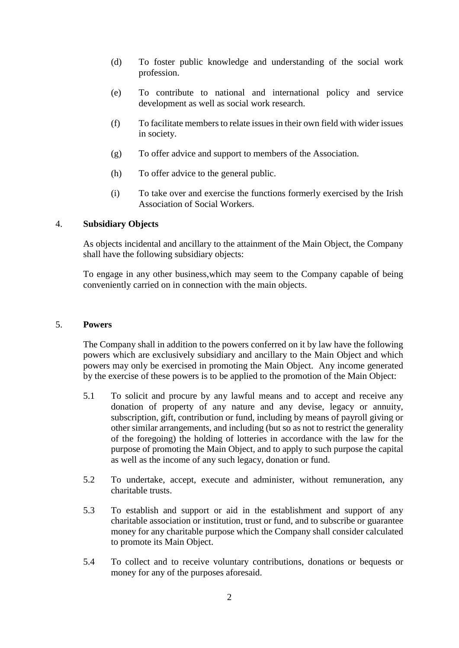- (d) To foster public knowledge and understanding of the social work profession.
- (e) To contribute to national and international policy and service development as well as social work research.
- (f) To facilitate members to relate issues in their own field with wider issues in society.
- (g) To offer advice and support to members of the Association.
- (h) To offer advice to the general public.
- (i) To take over and exercise the functions formerly exercised by the Irish Association of Social Workers.

## 4. **Subsidiary Objects**

As objects incidental and ancillary to the attainment of the Main Object, the Company shall have the following subsidiary objects:

To engage in any other business,which may seem to the Company capable of being conveniently carried on in connection with the main objects.

#### 5. **Powers**

The Company shall in addition to the powers conferred on it by law have the following powers which are exclusively subsidiary and ancillary to the Main Object and which powers may only be exercised in promoting the Main Object. Any income generated by the exercise of these powers is to be applied to the promotion of the Main Object:

- 5.1 To solicit and procure by any lawful means and to accept and receive any donation of property of any nature and any devise, legacy or annuity, subscription, gift, contribution or fund, including by means of payroll giving or other similar arrangements, and including (but so as not to restrict the generality of the foregoing) the holding of lotteries in accordance with the law for the purpose of promoting the Main Object, and to apply to such purpose the capital as well as the income of any such legacy, donation or fund.
- 5.2 To undertake, accept, execute and administer, without remuneration, any charitable trusts.
- 5.3 To establish and support or aid in the establishment and support of any charitable association or institution, trust or fund, and to subscribe or guarantee money for any charitable purpose which the Company shall consider calculated to promote its Main Object.
- 5.4 To collect and to receive voluntary contributions, donations or bequests or money for any of the purposes aforesaid.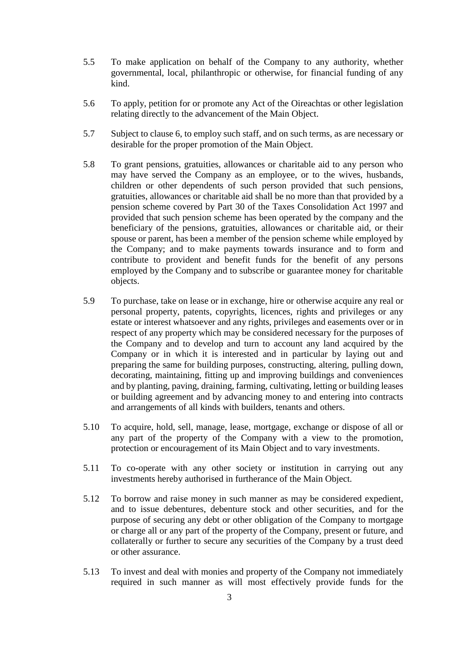- 5.5 To make application on behalf of the Company to any authority, whether governmental, local, philanthropic or otherwise, for financial funding of any kind.
- 5.6 To apply, petition for or promote any Act of the Oireachtas or other legislation relating directly to the advancement of the Main Object.
- 5.7 Subject to clause 6, to employ such staff, and on such terms, as are necessary or desirable for the proper promotion of the Main Object.
- 5.8 To grant pensions, gratuities, allowances or charitable aid to any person who may have served the Company as an employee, or to the wives, husbands, children or other dependents of such person provided that such pensions, gratuities, allowances or charitable aid shall be no more than that provided by a pension scheme covered by Part 30 of the Taxes Consolidation Act 1997 and provided that such pension scheme has been operated by the company and the beneficiary of the pensions, gratuities, allowances or charitable aid, or their spouse or parent, has been a member of the pension scheme while employed by the Company; and to make payments towards insurance and to form and contribute to provident and benefit funds for the benefit of any persons employed by the Company and to subscribe or guarantee money for charitable objects.
- 5.9 To purchase, take on lease or in exchange, hire or otherwise acquire any real or personal property, patents, copyrights, licences, rights and privileges or any estate or interest whatsoever and any rights, privileges and easements over or in respect of any property which may be considered necessary for the purposes of the Company and to develop and turn to account any land acquired by the Company or in which it is interested and in particular by laying out and preparing the same for building purposes, constructing, altering, pulling down, decorating, maintaining, fitting up and improving buildings and conveniences and by planting, paving, draining, farming, cultivating, letting or building leases or building agreement and by advancing money to and entering into contracts and arrangements of all kinds with builders, tenants and others.
- 5.10 To acquire, hold, sell, manage, lease, mortgage, exchange or dispose of all or any part of the property of the Company with a view to the promotion, protection or encouragement of its Main Object and to vary investments.
- 5.11 To co-operate with any other society or institution in carrying out any investments hereby authorised in furtherance of the Main Object.
- 5.12 To borrow and raise money in such manner as may be considered expedient, and to issue debentures, debenture stock and other securities, and for the purpose of securing any debt or other obligation of the Company to mortgage or charge all or any part of the property of the Company, present or future, and collaterally or further to secure any securities of the Company by a trust deed or other assurance.
- 5.13 To invest and deal with monies and property of the Company not immediately required in such manner as will most effectively provide funds for the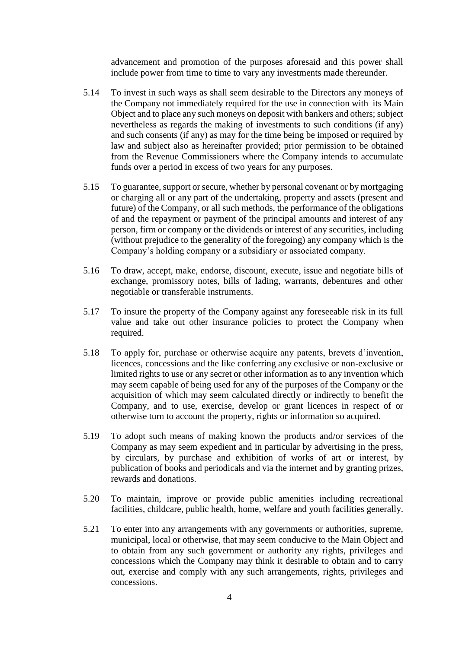advancement and promotion of the purposes aforesaid and this power shall include power from time to time to vary any investments made thereunder.

- 5.14 To invest in such ways as shall seem desirable to the Directors any moneys of the Company not immediately required for the use in connection with its Main Object and to place any such moneys on deposit with bankers and others; subject nevertheless as regards the making of investments to such conditions (if any) and such consents (if any) as may for the time being be imposed or required by law and subject also as hereinafter provided; prior permission to be obtained from the Revenue Commissioners where the Company intends to accumulate funds over a period in excess of two years for any purposes.
- 5.15 To guarantee, support or secure, whether by personal covenant or by mortgaging or charging all or any part of the undertaking, property and assets (present and future) of the Company, or all such methods, the performance of the obligations of and the repayment or payment of the principal amounts and interest of any person, firm or company or the dividends or interest of any securities, including (without prejudice to the generality of the foregoing) any company which is the Company's holding company or a subsidiary or associated company.
- 5.16 To draw, accept, make, endorse, discount, execute, issue and negotiate bills of exchange, promissory notes, bills of lading, warrants, debentures and other negotiable or transferable instruments.
- 5.17 To insure the property of the Company against any foreseeable risk in its full value and take out other insurance policies to protect the Company when required.
- 5.18 To apply for, purchase or otherwise acquire any patents, brevets d'invention, licences, concessions and the like conferring any exclusive or non-exclusive or limited rights to use or any secret or other information as to any invention which may seem capable of being used for any of the purposes of the Company or the acquisition of which may seem calculated directly or indirectly to benefit the Company, and to use, exercise, develop or grant licences in respect of or otherwise turn to account the property, rights or information so acquired.
- 5.19 To adopt such means of making known the products and/or services of the Company as may seem expedient and in particular by advertising in the press, by circulars, by purchase and exhibition of works of art or interest, by publication of books and periodicals and via the internet and by granting prizes, rewards and donations.
- 5.20 To maintain, improve or provide public amenities including recreational facilities, childcare, public health, home, welfare and youth facilities generally.
- 5.21 To enter into any arrangements with any governments or authorities, supreme, municipal, local or otherwise, that may seem conducive to the Main Object and to obtain from any such government or authority any rights, privileges and concessions which the Company may think it desirable to obtain and to carry out, exercise and comply with any such arrangements, rights, privileges and concessions.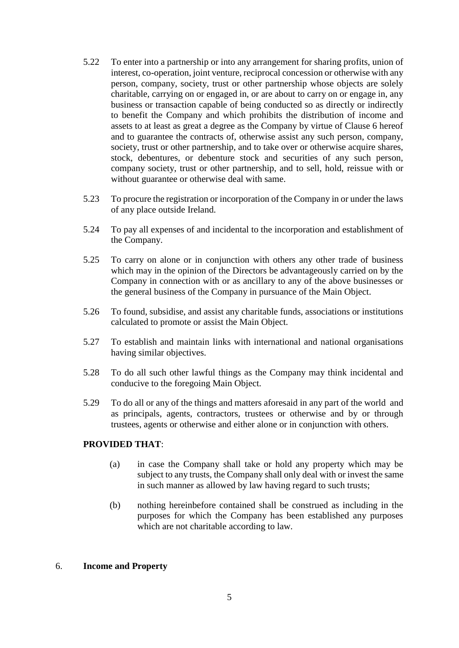- 5.22 To enter into a partnership or into any arrangement for sharing profits, union of interest, co-operation, joint venture, reciprocal concession or otherwise with any person, company, society, trust or other partnership whose objects are solely charitable, carrying on or engaged in, or are about to carry on or engage in, any business or transaction capable of being conducted so as directly or indirectly to benefit the Company and which prohibits the distribution of income and assets to at least as great a degree as the Company by virtue of Clause 6 hereof and to guarantee the contracts of, otherwise assist any such person, company, society, trust or other partnership, and to take over or otherwise acquire shares, stock, debentures, or debenture stock and securities of any such person, company society, trust or other partnership, and to sell, hold, reissue with or without guarantee or otherwise deal with same.
- 5.23 To procure the registration or incorporation of the Company in or under the laws of any place outside Ireland.
- 5.24 To pay all expenses of and incidental to the incorporation and establishment of the Company.
- 5.25 To carry on alone or in conjunction with others any other trade of business which may in the opinion of the Directors be advantageously carried on by the Company in connection with or as ancillary to any of the above businesses or the general business of the Company in pursuance of the Main Object.
- 5.26 To found, subsidise, and assist any charitable funds, associations or institutions calculated to promote or assist the Main Object.
- 5.27 To establish and maintain links with international and national organisations having similar objectives.
- 5.28 To do all such other lawful things as the Company may think incidental and conducive to the foregoing Main Object.
- 5.29 To do all or any of the things and matters aforesaid in any part of the world and as principals, agents, contractors, trustees or otherwise and by or through trustees, agents or otherwise and either alone or in conjunction with others.

## **PROVIDED THAT**:

- (a) in case the Company shall take or hold any property which may be subject to any trusts, the Company shall only deal with or invest the same in such manner as allowed by law having regard to such trusts;
- (b) nothing hereinbefore contained shall be construed as including in the purposes for which the Company has been established any purposes which are not charitable according to law.

#### 6. **Income and Property**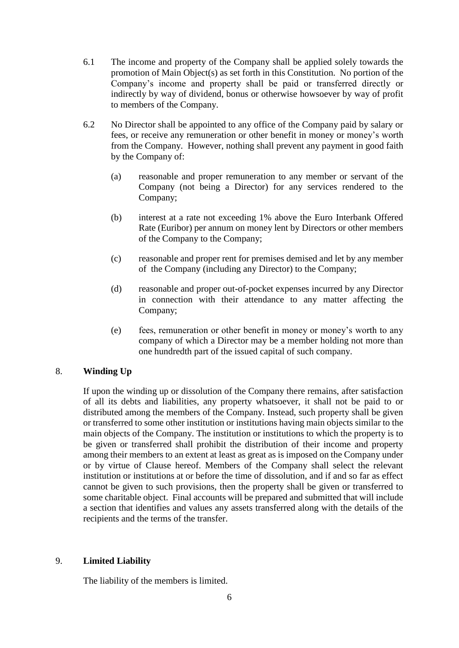- 6.1 The income and property of the Company shall be applied solely towards the promotion of Main Object(s) as set forth in this Constitution. No portion of the Company's income and property shall be paid or transferred directly or indirectly by way of dividend, bonus or otherwise howsoever by way of profit to members of the Company.
- 6.2 No Director shall be appointed to any office of the Company paid by salary or fees, or receive any remuneration or other benefit in money or money's worth from the Company. However, nothing shall prevent any payment in good faith by the Company of:
	- (a) reasonable and proper remuneration to any member or servant of the Company (not being a Director) for any services rendered to the Company;
	- (b) interest at a rate not exceeding 1% above the Euro Interbank Offered Rate (Euribor) per annum on money lent by Directors or other members of the Company to the Company;
	- (c) reasonable and proper rent for premises demised and let by any member of the Company (including any Director) to the Company;
	- (d) reasonable and proper out-of-pocket expenses incurred by any Director in connection with their attendance to any matter affecting the Company;
	- (e) fees, remuneration or other benefit in money or money's worth to any company of which a Director may be a member holding not more than one hundredth part of the issued capital of such company.

## 8. **Winding Up**

If upon the winding up or dissolution of the Company there remains, after satisfaction of all its debts and liabilities, any property whatsoever, it shall not be paid to or distributed among the members of the Company. Instead, such property shall be given or transferred to some other institution or institutions having main objects similar to the main objects of the Company. The institution or institutions to which the property is to be given or transferred shall prohibit the distribution of their income and property among their members to an extent at least as great as is imposed on the Company under or by virtue of Clause hereof. Members of the Company shall select the relevant institution or institutions at or before the time of dissolution, and if and so far as effect cannot be given to such provisions, then the property shall be given or transferred to some charitable object. Final accounts will be prepared and submitted that will include a section that identifies and values any assets transferred along with the details of the recipients and the terms of the transfer.

#### 9. **Limited Liability**

The liability of the members is limited.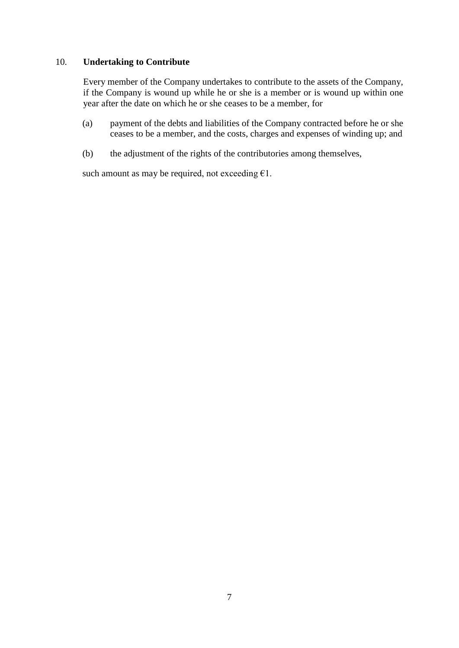### 10. **Undertaking to Contribute**

Every member of the Company undertakes to contribute to the assets of the Company, if the Company is wound up while he or she is a member or is wound up within one year after the date on which he or she ceases to be a member, for

- (a) payment of the debts and liabilities of the Company contracted before he or she ceases to be a member, and the costs, charges and expenses of winding up; and
- (b) the adjustment of the rights of the contributories among themselves,

such amount as may be required, not exceeding  $\epsilon$ 1.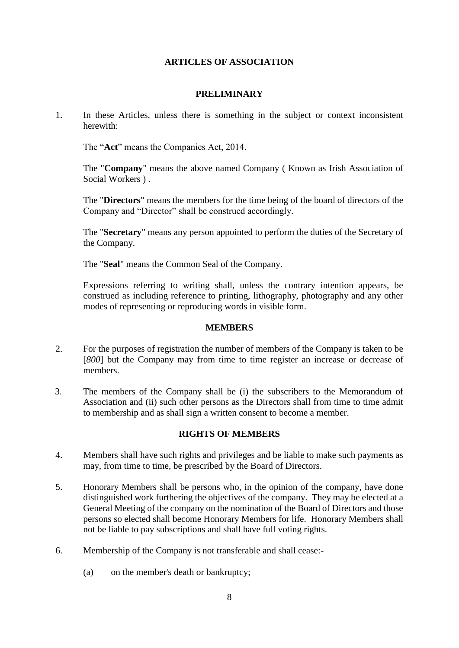## **ARTICLES OF ASSOCIATION**

### **PRELIMINARY**

1. In these Articles, unless there is something in the subject or context inconsistent herewith:

The "**Act**" means the Companies Act, 2014.

The "**Company**" means the above named Company ( Known as Irish Association of Social Workers ) .

The "**Directors**" means the members for the time being of the board of directors of the Company and "Director" shall be construed accordingly.

The "**Secretary**" means any person appointed to perform the duties of the Secretary of the Company.

The "**Seal**" means the Common Seal of the Company.

Expressions referring to writing shall, unless the contrary intention appears, be construed as including reference to printing, lithography, photography and any other modes of representing or reproducing words in visible form.

#### **MEMBERS**

- 2. For the purposes of registration the number of members of the Company is taken to be [*800*] but the Company may from time to time register an increase or decrease of members.
- 3. The members of the Company shall be (i) the subscribers to the Memorandum of Association and (ii) such other persons as the Directors shall from time to time admit to membership and as shall sign a written consent to become a member.

## **RIGHTS OF MEMBERS**

- 4. Members shall have such rights and privileges and be liable to make such payments as may, from time to time, be prescribed by the Board of Directors.
- 5. Honorary Members shall be persons who, in the opinion of the company, have done distinguished work furthering the objectives of the company. They may be elected at a General Meeting of the company on the nomination of the Board of Directors and those persons so elected shall become Honorary Members for life. Honorary Members shall not be liable to pay subscriptions and shall have full voting rights.
- 6. Membership of the Company is not transferable and shall cease:-
	- (a) on the member's death or bankruptcy;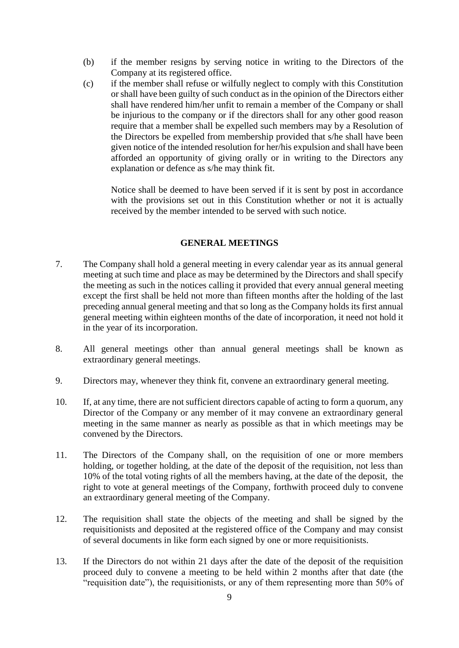- (b) if the member resigns by serving notice in writing to the Directors of the Company at its registered office.
- (c) if the member shall refuse or wilfully neglect to comply with this Constitution or shall have been guilty of such conduct as in the opinion of the Directors either shall have rendered him/her unfit to remain a member of the Company or shall be injurious to the company or if the directors shall for any other good reason require that a member shall be expelled such members may by a Resolution of the Directors be expelled from membership provided that s/he shall have been given notice of the intended resolution for her/his expulsion and shall have been afforded an opportunity of giving orally or in writing to the Directors any explanation or defence as s/he may think fit.

Notice shall be deemed to have been served if it is sent by post in accordance with the provisions set out in this Constitution whether or not it is actually received by the member intended to be served with such notice.

#### **GENERAL MEETINGS**

- 7. The Company shall hold a general meeting in every calendar year as its annual general meeting at such time and place as may be determined by the Directors and shall specify the meeting as such in the notices calling it provided that every annual general meeting except the first shall be held not more than fifteen months after the holding of the last preceding annual general meeting and that so long as the Company holds its first annual general meeting within eighteen months of the date of incorporation, it need not hold it in the year of its incorporation.
- 8. All general meetings other than annual general meetings shall be known as extraordinary general meetings.
- 9. Directors may, whenever they think fit, convene an extraordinary general meeting.
- 10. If, at any time, there are not sufficient directors capable of acting to form a quorum, any Director of the Company or any member of it may convene an extraordinary general meeting in the same manner as nearly as possible as that in which meetings may be convened by the Directors.
- 11. The Directors of the Company shall, on the requisition of one or more members holding, or together holding, at the date of the deposit of the requisition, not less than 10% of the total voting rights of all the members having, at the date of the deposit, the right to vote at general meetings of the Company, forthwith proceed duly to convene an extraordinary general meeting of the Company.
- 12. The requisition shall state the objects of the meeting and shall be signed by the requisitionists and deposited at the registered office of the Company and may consist of several documents in like form each signed by one or more requisitionists.
- 13. If the Directors do not within 21 days after the date of the deposit of the requisition proceed duly to convene a meeting to be held within 2 months after that date (the "requisition date"), the requisitionists, or any of them representing more than 50% of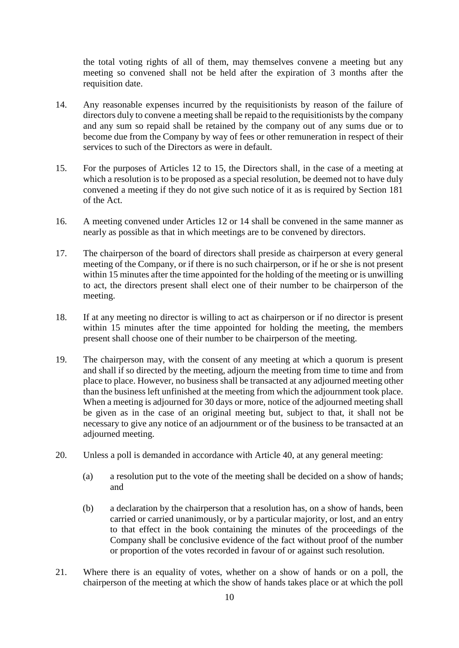the total voting rights of all of them, may themselves convene a meeting but any meeting so convened shall not be held after the expiration of 3 months after the requisition date.

- 14. Any reasonable expenses incurred by the requisitionists by reason of the failure of directors duly to convene a meeting shall be repaid to the requisitionists by the company and any sum so repaid shall be retained by the company out of any sums due or to become due from the Company by way of fees or other remuneration in respect of their services to such of the Directors as were in default.
- 15. For the purposes of Articles 12 to 15, the Directors shall, in the case of a meeting at which a resolution is to be proposed as a special resolution, be deemed not to have duly convened a meeting if they do not give such notice of it as is required by Section 181 of the Act.
- 16. A meeting convened under Articles 12 or 14 shall be convened in the same manner as nearly as possible as that in which meetings are to be convened by directors.
- 17. The chairperson of the board of directors shall preside as chairperson at every general meeting of the Company, or if there is no such chairperson, or if he or she is not present within 15 minutes after the time appointed for the holding of the meeting or is unwilling to act, the directors present shall elect one of their number to be chairperson of the meeting.
- 18. If at any meeting no director is willing to act as chairperson or if no director is present within 15 minutes after the time appointed for holding the meeting, the members present shall choose one of their number to be chairperson of the meeting.
- 19. The chairperson may, with the consent of any meeting at which a quorum is present and shall if so directed by the meeting, adjourn the meeting from time to time and from place to place. However, no business shall be transacted at any adjourned meeting other than the business left unfinished at the meeting from which the adjournment took place. When a meeting is adjourned for 30 days or more, notice of the adjourned meeting shall be given as in the case of an original meeting but, subject to that, it shall not be necessary to give any notice of an adjournment or of the business to be transacted at an adjourned meeting.
- 20. Unless a poll is demanded in accordance with Article 40, at any general meeting:
	- (a) a resolution put to the vote of the meeting shall be decided on a show of hands; and
	- (b) a declaration by the chairperson that a resolution has, on a show of hands, been carried or carried unanimously, or by a particular majority, or lost, and an entry to that effect in the book containing the minutes of the proceedings of the Company shall be conclusive evidence of the fact without proof of the number or proportion of the votes recorded in favour of or against such resolution.
- 21. Where there is an equality of votes, whether on a show of hands or on a poll, the chairperson of the meeting at which the show of hands takes place or at which the poll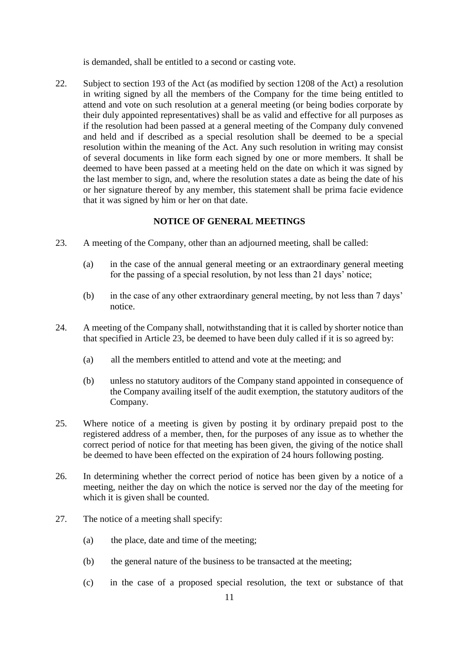is demanded, shall be entitled to a second or casting vote.

22. Subject to section 193 of the Act (as modified by section 1208 of the Act) a resolution in writing signed by all the members of the Company for the time being entitled to attend and vote on such resolution at a general meeting (or being bodies corporate by their duly appointed representatives) shall be as valid and effective for all purposes as if the resolution had been passed at a general meeting of the Company duly convened and held and if described as a special resolution shall be deemed to be a special resolution within the meaning of the Act. Any such resolution in writing may consist of several documents in like form each signed by one or more members. It shall be deemed to have been passed at a meeting held on the date on which it was signed by the last member to sign, and, where the resolution states a date as being the date of his or her signature thereof by any member, this statement shall be prima facie evidence that it was signed by him or her on that date.

#### **NOTICE OF GENERAL MEETINGS**

- 23. A meeting of the Company, other than an adjourned meeting, shall be called:
	- (a) in the case of the annual general meeting or an extraordinary general meeting for the passing of a special resolution, by not less than 21 days' notice;
	- (b) in the case of any other extraordinary general meeting, by not less than 7 days' notice.
- 24. A meeting of the Company shall, notwithstanding that it is called by shorter notice than that specified in Article 23, be deemed to have been duly called if it is so agreed by:
	- (a) all the members entitled to attend and vote at the meeting; and
	- (b) unless no statutory auditors of the Company stand appointed in consequence of the Company availing itself of the audit exemption, the statutory auditors of the Company.
- 25. Where notice of a meeting is given by posting it by ordinary prepaid post to the registered address of a member, then, for the purposes of any issue as to whether the correct period of notice for that meeting has been given, the giving of the notice shall be deemed to have been effected on the expiration of 24 hours following posting.
- 26. In determining whether the correct period of notice has been given by a notice of a meeting, neither the day on which the notice is served nor the day of the meeting for which it is given shall be counted.
- 27. The notice of a meeting shall specify:
	- (a) the place, date and time of the meeting;
	- (b) the general nature of the business to be transacted at the meeting;
	- (c) in the case of a proposed special resolution, the text or substance of that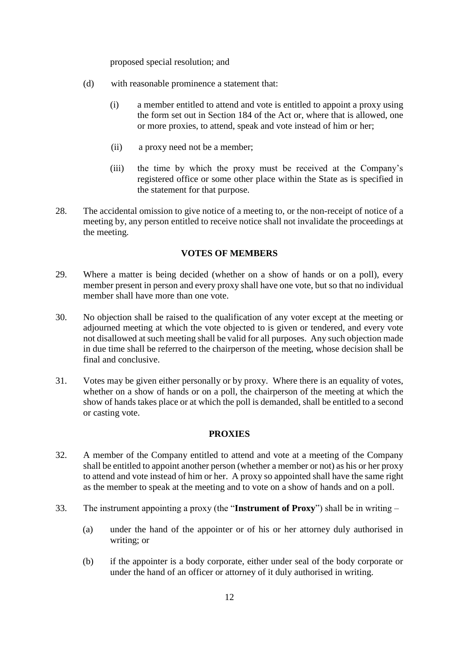proposed special resolution; and

- (d) with reasonable prominence a statement that:
	- (i) a member entitled to attend and vote is entitled to appoint a proxy using the form set out in Section 184 of the Act or, where that is allowed, one or more proxies, to attend, speak and vote instead of him or her;
	- (ii) a proxy need not be a member;
	- (iii) the time by which the proxy must be received at the Company's registered office or some other place within the State as is specified in the statement for that purpose.
- 28. The accidental omission to give notice of a meeting to, or the non-receipt of notice of a meeting by, any person entitled to receive notice shall not invalidate the proceedings at the meeting.

#### **VOTES OF MEMBERS**

- 29. Where a matter is being decided (whether on a show of hands or on a poll), every member present in person and every proxy shall have one vote, but so that no individual member shall have more than one vote.
- 30. No objection shall be raised to the qualification of any voter except at the meeting or adjourned meeting at which the vote objected to is given or tendered, and every vote not disallowed at such meeting shall be valid for all purposes. Any such objection made in due time shall be referred to the chairperson of the meeting, whose decision shall be final and conclusive.
- 31. Votes may be given either personally or by proxy. Where there is an equality of votes, whether on a show of hands or on a poll, the chairperson of the meeting at which the show of hands takes place or at which the poll is demanded, shall be entitled to a second or casting vote.

## **PROXIES**

- 32. A member of the Company entitled to attend and vote at a meeting of the Company shall be entitled to appoint another person (whether a member or not) as his or her proxy to attend and vote instead of him or her. A proxy so appointed shall have the same right as the member to speak at the meeting and to vote on a show of hands and on a poll.
- 33. The instrument appointing a proxy (the "**Instrument of Proxy**") shall be in writing
	- (a) under the hand of the appointer or of his or her attorney duly authorised in writing; or
	- (b) if the appointer is a body corporate, either under seal of the body corporate or under the hand of an officer or attorney of it duly authorised in writing.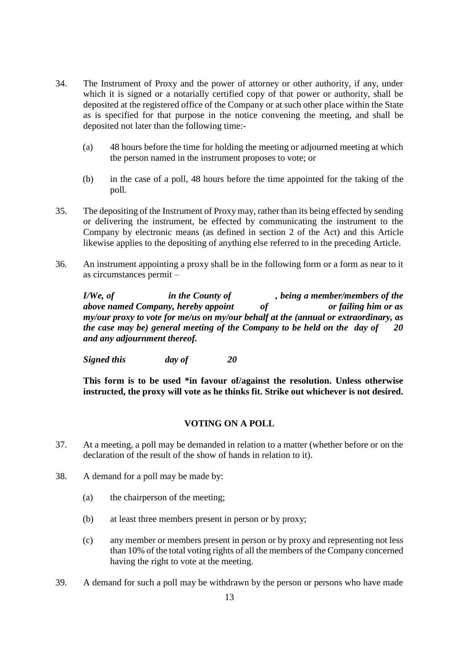- 34. The Instrument of Proxy and the power of attorney or other authority, if any, under which it is signed or a notarially certified copy of that power or authority, shall be deposited at the registered office of the Company or at such other place within the State as is specified for that purpose in the notice convening the meeting, and shall be deposited not later than the following time:-
	- (a) 48 hours before the time for holding the meeting or adjourned meeting at which the person named in the instrument proposes to vote; or
	- (b) in the case of a poll, 48 hours before the time appointed for the taking of the poll.
- 35. The depositing of the Instrument of Proxy may, rather than its being effected by sending or delivering the instrument, be effected by communicating the instrument to the Company by electronic means (as defined in section 2 of the Act) and this Article likewise applies to the depositing of anything else referred to in the preceding Article.
- 36. An instrument appointing a proxy shall be in the following form or a form as near to it as circumstances permit –

*I/We, of in the County of , being a member/members of the above named Company, hereby appoint of or failing him or as my/our proxy to vote for me/us on my/our behalf at the (annual or extraordinary, as the case may be) general meeting of the Company to be held on the day of 20 and any adjournment thereof.*

*Signed this day of 20*

**This form is to be used \*in favour of/against the resolution. Unless otherwise instructed, the proxy will vote as he thinks fit. Strike out whichever is not desired.**

## **VOTING ON A POLL**

- 37. At a meeting, a poll may be demanded in relation to a matter (whether before or on the declaration of the result of the show of hands in relation to it).
- 38. A demand for a poll may be made by:
	- (a) the chairperson of the meeting;
	- (b) at least three members present in person or by proxy;
	- (c) any member or members present in person or by proxy and representing not less than 10% of the total voting rights of all the members of the Company concerned having the right to vote at the meeting.
- 39. A demand for such a poll may be withdrawn by the person or persons who have made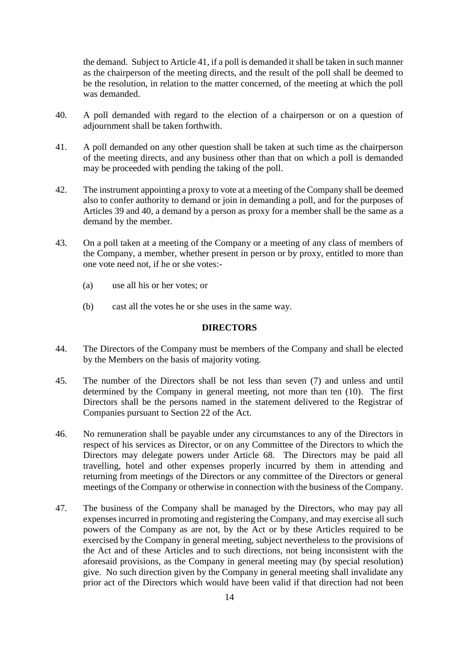the demand. Subject to Article 41, if a poll is demanded it shall be taken in such manner as the chairperson of the meeting directs, and the result of the poll shall be deemed to be the resolution, in relation to the matter concerned, of the meeting at which the poll was demanded.

- 40. A poll demanded with regard to the election of a chairperson or on a question of adjournment shall be taken forthwith.
- 41. A poll demanded on any other question shall be taken at such time as the chairperson of the meeting directs, and any business other than that on which a poll is demanded may be proceeded with pending the taking of the poll.
- 42. The instrument appointing a proxy to vote at a meeting of the Company shall be deemed also to confer authority to demand or join in demanding a poll, and for the purposes of Articles 39 and 40, a demand by a person as proxy for a member shall be the same as a demand by the member.
- 43. On a poll taken at a meeting of the Company or a meeting of any class of members of the Company, a member, whether present in person or by proxy, entitled to more than one vote need not, if he or she votes:-
	- (a) use all his or her votes; or
	- (b) cast all the votes he or she uses in the same way.

#### **DIRECTORS**

- 44. The Directors of the Company must be members of the Company and shall be elected by the Members on the basis of majority voting.
- 45. The number of the Directors shall be not less than seven (7) and unless and until determined by the Company in general meeting, not more than ten (10). The first Directors shall be the persons named in the statement delivered to the Registrar of Companies pursuant to Section 22 of the Act.
- 46. No remuneration shall be payable under any circumstances to any of the Directors in respect of his services as Director, or on any Committee of the Directors to which the Directors may delegate powers under Article 68. The Directors may be paid all travelling, hotel and other expenses properly incurred by them in attending and returning from meetings of the Directors or any committee of the Directors or general meetings of the Company or otherwise in connection with the business of the Company.
- 47. The business of the Company shall be managed by the Directors, who may pay all expenses incurred in promoting and registering the Company, and may exercise all such powers of the Company as are not, by the Act or by these Articles required to be exercised by the Company in general meeting, subject nevertheless to the provisions of the Act and of these Articles and to such directions, not being inconsistent with the aforesaid provisions, as the Company in general meeting may (by special resolution) give. No such direction given by the Company in general meeting shall invalidate any prior act of the Directors which would have been valid if that direction had not been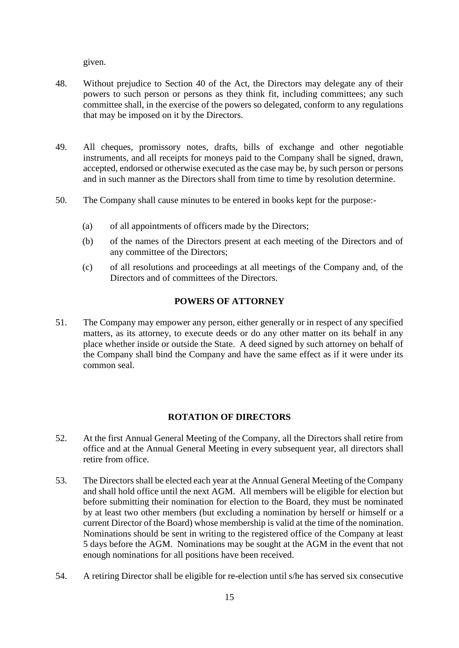given.

- 48. Without prejudice to Section 40 of the Act, the Directors may delegate any of their powers to such person or persons as they think fit, including committees; any such committee shall, in the exercise of the powers so delegated, conform to any regulations that may be imposed on it by the Directors.
- 49. All cheques, promissory notes, drafts, bills of exchange and other negotiable instruments, and all receipts for moneys paid to the Company shall be signed, drawn, accepted, endorsed or otherwise executed as the case may be, by such person or persons and in such manner as the Directors shall from time to time by resolution determine.
- 50. The Company shall cause minutes to be entered in books kept for the purpose:-
	- (a) of all appointments of officers made by the Directors;
	- (b) of the names of the Directors present at each meeting of the Directors and of any committee of the Directors;
	- (c) of all resolutions and proceedings at all meetings of the Company and, of the Directors and of committees of the Directors.

## **POWERS OF ATTORNEY**

51. The Company may empower any person, either generally or in respect of any specified matters, as its attorney, to execute deeds or do any other matter on its behalf in any place whether inside or outside the State. A deed signed by such attorney on behalf of the Company shall bind the Company and have the same effect as if it were under its common seal.

# **ROTATION OF DIRECTORS**

- 52. At the first Annual General Meeting of the Company, all the Directors shall retire from office and at the Annual General Meeting in every subsequent year, all directors shall retire from office.
- 53. The Directors shall be elected each year at the Annual General Meeting of the Company and shall hold office until the next AGM. All members will be eligible for election but before submitting their nomination for election to the Board, they must be nominated by at least two other members (but excluding a nomination by herself or himself or a current Director of the Board) whose membership is valid at the time of the nomination. Nominations should be sent in writing to the registered office of the Company at least 5 days before the AGM. Nominations may be sought at the AGM in the event that not enough nominations for all positions have been received.
- 54. A retiring Director shall be eligible for re-election until s/he has served six consecutive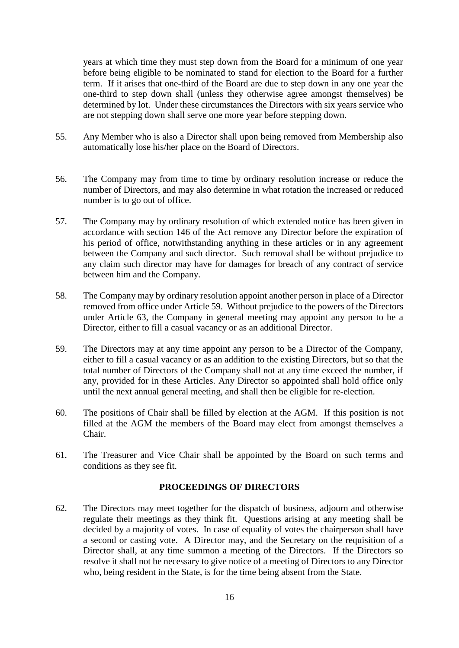years at which time they must step down from the Board for a minimum of one year before being eligible to be nominated to stand for election to the Board for a further term. If it arises that one-third of the Board are due to step down in any one year the one-third to step down shall (unless they otherwise agree amongst themselves) be determined by lot. Under these circumstances the Directors with six years service who are not stepping down shall serve one more year before stepping down.

- 55. Any Member who is also a Director shall upon being removed from Membership also automatically lose his/her place on the Board of Directors.
- 56. The Company may from time to time by ordinary resolution increase or reduce the number of Directors, and may also determine in what rotation the increased or reduced number is to go out of office.
- 57. The Company may by ordinary resolution of which extended notice has been given in accordance with section 146 of the Act remove any Director before the expiration of his period of office, notwithstanding anything in these articles or in any agreement between the Company and such director. Such removal shall be without prejudice to any claim such director may have for damages for breach of any contract of service between him and the Company.
- 58. The Company may by ordinary resolution appoint another person in place of a Director removed from office under Article 59. Without prejudice to the powers of the Directors under Article 63, the Company in general meeting may appoint any person to be a Director, either to fill a casual vacancy or as an additional Director.
- 59. The Directors may at any time appoint any person to be a Director of the Company, either to fill a casual vacancy or as an addition to the existing Directors, but so that the total number of Directors of the Company shall not at any time exceed the number, if any, provided for in these Articles. Any Director so appointed shall hold office only until the next annual general meeting, and shall then be eligible for re-election.
- 60. The positions of Chair shall be filled by election at the AGM. If this position is not filled at the AGM the members of the Board may elect from amongst themselves a Chair.
- 61. The Treasurer and Vice Chair shall be appointed by the Board on such terms and conditions as they see fit.

## **PROCEEDINGS OF DIRECTORS**

62. The Directors may meet together for the dispatch of business, adjourn and otherwise regulate their meetings as they think fit. Questions arising at any meeting shall be decided by a majority of votes. In case of equality of votes the chairperson shall have a second or casting vote. A Director may, and the Secretary on the requisition of a Director shall, at any time summon a meeting of the Directors. If the Directors so resolve it shall not be necessary to give notice of a meeting of Directors to any Director who, being resident in the State, is for the time being absent from the State.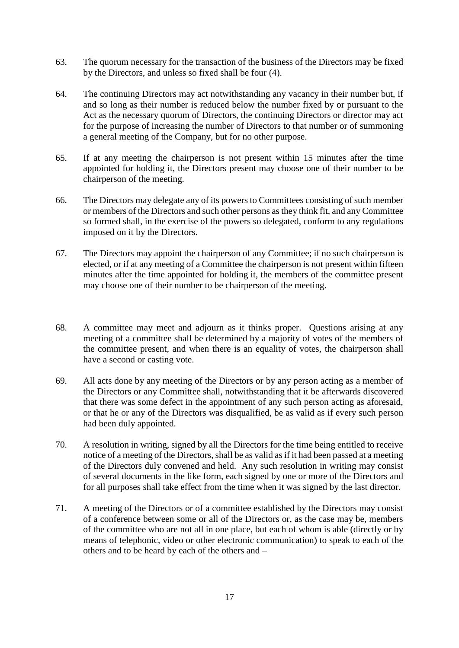- 63. The quorum necessary for the transaction of the business of the Directors may be fixed by the Directors, and unless so fixed shall be four (4).
- 64. The continuing Directors may act notwithstanding any vacancy in their number but, if and so long as their number is reduced below the number fixed by or pursuant to the Act as the necessary quorum of Directors, the continuing Directors or director may act for the purpose of increasing the number of Directors to that number or of summoning a general meeting of the Company, but for no other purpose.
- 65. If at any meeting the chairperson is not present within 15 minutes after the time appointed for holding it, the Directors present may choose one of their number to be chairperson of the meeting.
- 66. The Directors may delegate any of its powers to Committees consisting of such member or members of the Directors and such other persons as they think fit, and any Committee so formed shall, in the exercise of the powers so delegated, conform to any regulations imposed on it by the Directors.
- 67. The Directors may appoint the chairperson of any Committee; if no such chairperson is elected, or if at any meeting of a Committee the chairperson is not present within fifteen minutes after the time appointed for holding it, the members of the committee present may choose one of their number to be chairperson of the meeting.
- 68. A committee may meet and adjourn as it thinks proper. Questions arising at any meeting of a committee shall be determined by a majority of votes of the members of the committee present, and when there is an equality of votes, the chairperson shall have a second or casting vote.
- 69. All acts done by any meeting of the Directors or by any person acting as a member of the Directors or any Committee shall, notwithstanding that it be afterwards discovered that there was some defect in the appointment of any such person acting as aforesaid, or that he or any of the Directors was disqualified, be as valid as if every such person had been duly appointed.
- 70. A resolution in writing, signed by all the Directors for the time being entitled to receive notice of a meeting of the Directors, shall be as valid as if it had been passed at a meeting of the Directors duly convened and held. Any such resolution in writing may consist of several documents in the like form, each signed by one or more of the Directors and for all purposes shall take effect from the time when it was signed by the last director.
- 71. A meeting of the Directors or of a committee established by the Directors may consist of a conference between some or all of the Directors or, as the case may be, members of the committee who are not all in one place, but each of whom is able (directly or by means of telephonic, video or other electronic communication) to speak to each of the others and to be heard by each of the others and –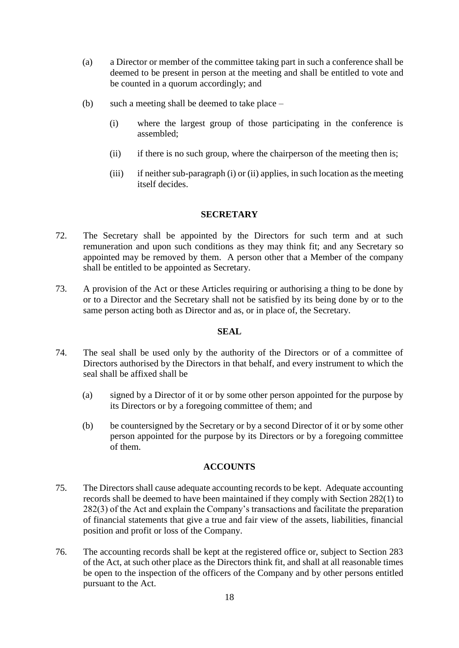- (a) a Director or member of the committee taking part in such a conference shall be deemed to be present in person at the meeting and shall be entitled to vote and be counted in a quorum accordingly; and
- (b) such a meeting shall be deemed to take place
	- (i) where the largest group of those participating in the conference is assembled;
	- (ii) if there is no such group, where the chairperson of the meeting then is;
	- (iii) if neither sub-paragraph (i) or (ii) applies, in such location as the meeting itself decides.

## **SECRETARY**

- 72. The Secretary shall be appointed by the Directors for such term and at such remuneration and upon such conditions as they may think fit; and any Secretary so appointed may be removed by them. A person other that a Member of the company shall be entitled to be appointed as Secretary.
- 73. A provision of the Act or these Articles requiring or authorising a thing to be done by or to a Director and the Secretary shall not be satisfied by its being done by or to the same person acting both as Director and as, or in place of, the Secretary.

## **SEAL**

- 74. The seal shall be used only by the authority of the Directors or of a committee of Directors authorised by the Directors in that behalf, and every instrument to which the seal shall be affixed shall be
	- (a) signed by a Director of it or by some other person appointed for the purpose by its Directors or by a foregoing committee of them; and
	- (b) be countersigned by the Secretary or by a second Director of it or by some other person appointed for the purpose by its Directors or by a foregoing committee of them.

## **ACCOUNTS**

- 75. The Directors shall cause adequate accounting records to be kept. Adequate accounting records shall be deemed to have been maintained if they comply with Section 282(1) to 282(3) of the Act and explain the Company's transactions and facilitate the preparation of financial statements that give a true and fair view of the assets, liabilities, financial position and profit or loss of the Company.
- 76. The accounting records shall be kept at the registered office or, subject to Section 283 of the Act, at such other place as the Directors think fit, and shall at all reasonable times be open to the inspection of the officers of the Company and by other persons entitled pursuant to the Act.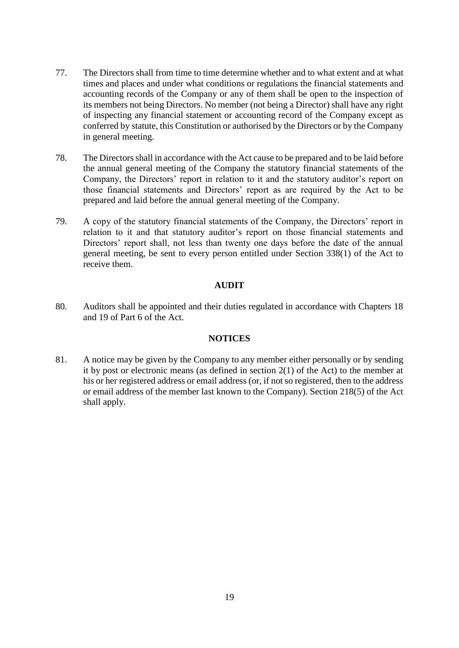- 77. The Directors shall from time to time determine whether and to what extent and at what times and places and under what conditions or regulations the financial statements and accounting records of the Company or any of them shall be open to the inspection of its members not being Directors. No member (not being a Director) shall have any right of inspecting any financial statement or accounting record of the Company except as conferred by statute, this Constitution or authorised by the Directors or by the Company in general meeting.
- 78. The Directors shall in accordance with the Act cause to be prepared and to be laid before the annual general meeting of the Company the statutory financial statements of the Company, the Directors' report in relation to it and the statutory auditor's report on those financial statements and Directors' report as are required by the Act to be prepared and laid before the annual general meeting of the Company.
- 79. A copy of the statutory financial statements of the Company, the Directors' report in relation to it and that statutory auditor's report on those financial statements and Directors' report shall, not less than twenty one days before the date of the annual general meeting, be sent to every person entitled under Section 338(1) of the Act to receive them.

## **AUDIT**

80. Auditors shall be appointed and their duties regulated in accordance with Chapters 18 and 19 of Part 6 of the Act.

## **NOTICES**

81. A notice may be given by the Company to any member either personally or by sending it by post or electronic means (as defined in section 2(1) of the Act) to the member at his or her registered address or email address (or, if not so registered, then to the address or email address of the member last known to the Company). Section 218(5) of the Act shall apply.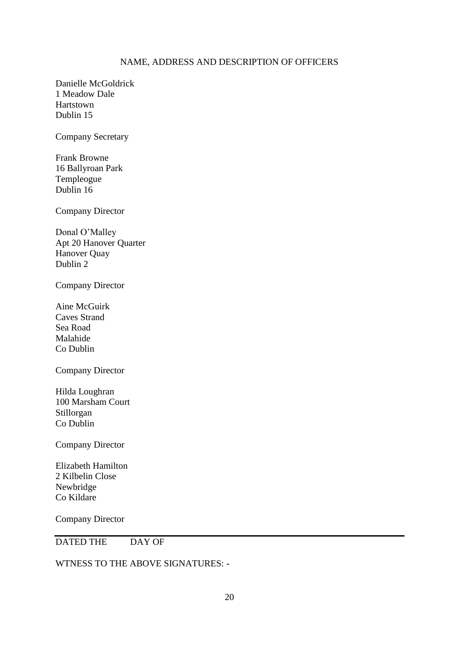#### NAME, ADDRESS AND DESCRIPTION OF OFFICERS

Danielle McGoldrick 1 Meadow Dale Hartstown Dublin 15

Company Secretary

Frank Browne 16 Ballyroan Park Templeogue Dublin 16

Company Director

Donal O'Malley Apt 20 Hanover Quarter Hanover Quay Dublin 2

Company Director

Aine McGuirk Caves Strand Sea Road Malahide Co Dublin

Company Director

Hilda Loughran 100 Marsham Court Stillorgan Co Dublin

Company Director

Elizabeth Hamilton 2 Kilbelin Close Newbridge Co Kildare

Company Director

DATED THE DAY OF

WTNESS TO THE ABOVE SIGNATURES: -